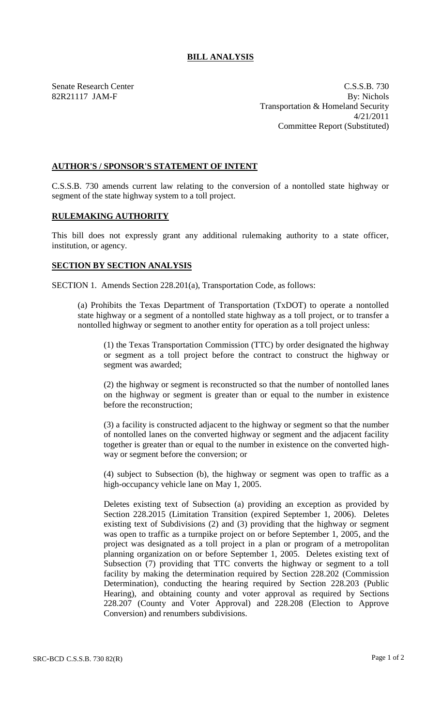## **BILL ANALYSIS**

Senate Research Center C.S.S.B. 730 82R21117 JAM-F By: Nichols Transportation & Homeland Security 4/21/2011 Committee Report (Substituted)

## **AUTHOR'S / SPONSOR'S STATEMENT OF INTENT**

C.S.S.B. 730 amends current law relating to the conversion of a nontolled state highway or segment of the state highway system to a toll project.

## **RULEMAKING AUTHORITY**

This bill does not expressly grant any additional rulemaking authority to a state officer, institution, or agency.

## **SECTION BY SECTION ANALYSIS**

SECTION 1. Amends Section 228.201(a), Transportation Code, as follows:

(a) Prohibits the Texas Department of Transportation (TxDOT) to operate a nontolled state highway or a segment of a nontolled state highway as a toll project, or to transfer a nontolled highway or segment to another entity for operation as a toll project unless:

(1) the Texas Transportation Commission (TTC) by order designated the highway or segment as a toll project before the contract to construct the highway or segment was awarded;

(2) the highway or segment is reconstructed so that the number of nontolled lanes on the highway or segment is greater than or equal to the number in existence before the reconstruction;

(3) a facility is constructed adjacent to the highway or segment so that the number of nontolled lanes on the converted highway or segment and the adjacent facility together is greater than or equal to the number in existence on the converted highway or segment before the conversion; or

(4) subject to Subsection (b), the highway or segment was open to traffic as a high-occupancy vehicle lane on May 1, 2005.

Deletes existing text of Subsection (a) providing an exception as provided by Section 228.2015 (Limitation Transition (expired September 1, 2006). Deletes existing text of Subdivisions (2) and (3) providing that the highway or segment was open to traffic as a turnpike project on or before September 1, 2005, and the project was designated as a toll project in a plan or program of a metropolitan planning organization on or before September 1, 2005. Deletes existing text of Subsection (7) providing that TTC converts the highway or segment to a toll facility by making the determination required by Section 228.202 (Commission Determination), conducting the hearing required by Section 228.203 (Public Hearing), and obtaining county and voter approval as required by Sections 228.207 (County and Voter Approval) and 228.208 (Election to Approve Conversion) and renumbers subdivisions.